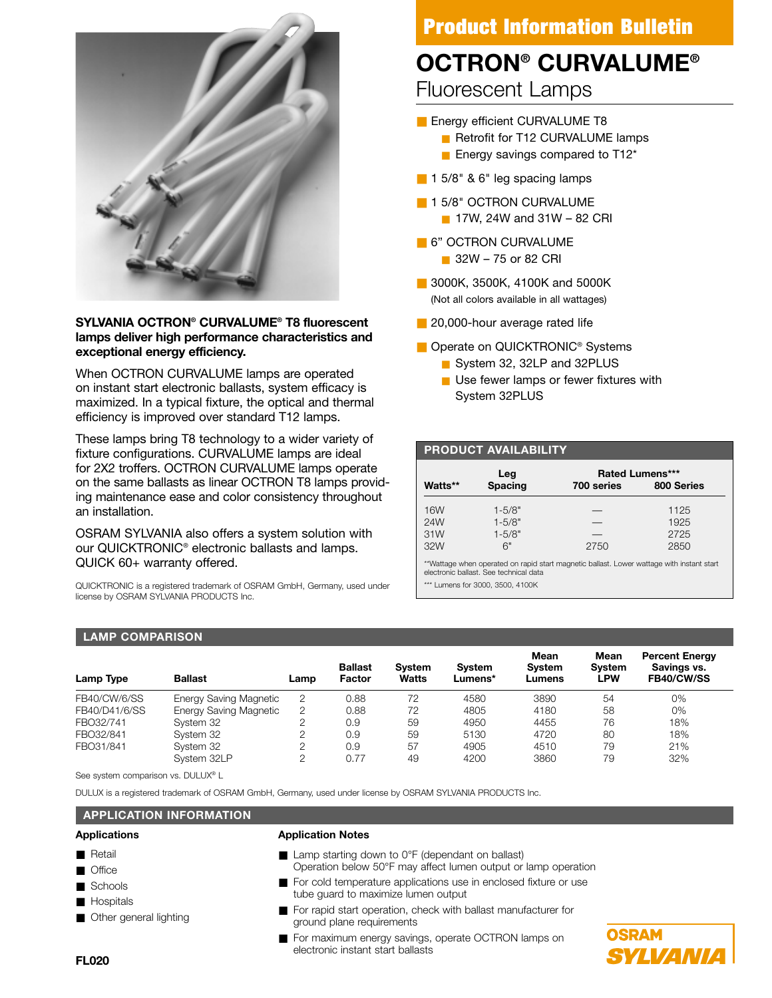

# **SYLVANIA OCTRON® CURVALUME® T8 fluorescent lamps deliver high performance characteristics and exceptional energy efficiency.**

When OCTRON CURVALUME lamps are operated on instant start electronic ballasts, system efficacy is maximized. In a typical fixture, the optical and thermal efficiency is improved over standard T12 lamps.

These lamps bring T8 technology to a wider variety of fixture configurations. CURVALUME lamps are ideal for 2X2 troffers. OCTRON CURVALUME lamps operate on the same ballasts as linear OCTRON T8 lamps providing maintenance ease and color consistency throughout an installation.

OSRAM SYLVANIA also offers a system solution with our QUICKTRONIC® electronic ballasts and lamps. QUICK 60+ warranty offered.

QUICKTRONIC is a registered trademark of OSRAM GmbH, Germany, used under license by OSRAM SYLVANIA PRODUCTS Inc.

# **Product Information Bulletin**

# **OCTRON® CURVALUME®**

Fluorescent Lamps

- Energy efficient CURVALUME T8
	- Retrofit for T12 CURVALUME lamps
	- Energy savings compared to T12<sup>\*</sup>
- 1 5/8" & 6" leg spacing lamps
- 1 5/8" OCTRON CURVALUME
	- 17W, 24W and 31W 82 CRI
- 6" OCTRON CURVALUME ■ 32W – 75 or 82 CRI
- 3000K, 3500K, 4100K and 5000K (Not all colors available in all wattages)
- 20,000-hour average rated life
- Operate on QUICKTRONIC<sup>®</sup> Systems
	- System 32, 32LP and 32PLUS
	- Use fewer lamps or fewer fixtures with System 32PLUS

# **PRODUCT AVAILABILITY**

|         | Leg            |            | <b>Rated Lumens***</b> |
|---------|----------------|------------|------------------------|
| Watts** | <b>Spacing</b> | 700 series | 800 Series             |
| 16W     | $1 - 5/8"$     |            | 1125                   |
| 24W     | $1 - 5/8"$     |            | 1925                   |
| 31W     | $1 - 5/8"$     |            | 2725                   |
| 32W     | 6"             | 2750       | 2850                   |

\*\*Wattage when operated on rapid start magnetic ballast. Lower wattage with instant start electronic ballast. See technical data

\*\*\* Lumens for 3000, 3500, 4100K

# **LAMP COMPARISON**

| Lamp Type     | <b>Ballast</b>                | Lamp | <b>Ballast</b><br>Factor | <b>System</b><br><b>Watts</b> | <b>System</b><br>Lumens* | Mean<br><b>System</b><br>Lumens | Mean<br><b>System</b><br>∟PW | <b>Percent Energy</b><br>Savings vs.<br>FB40/CW/SS |
|---------------|-------------------------------|------|--------------------------|-------------------------------|--------------------------|---------------------------------|------------------------------|----------------------------------------------------|
| FB40/CW/6/SS  | <b>Energy Saving Magnetic</b> | 2    | 0.88                     | 72                            | 4580                     | 3890                            | 54                           | 0%                                                 |
| FB40/D41/6/SS | <b>Energy Saving Magnetic</b> | 2    | 0.88                     | 72                            | 4805                     | 4180                            | 58                           | 0%                                                 |
| FBO32/741     | System 32                     |      | 0.9                      | 59                            | 4950                     | 4455                            | 76                           | 18%                                                |
| FBO32/841     | System 32                     | ↷    | 0.9                      | 59                            | 5130                     | 4720                            | 80                           | 18%                                                |
| FBO31/841     | System 32                     | 2    | 0.9                      | 57                            | 4905                     | 4510                            | 79                           | 21%                                                |
|               | System 32LP                   | ↷    | 0.77                     | 49                            | 4200                     | 3860                            | 79                           | 32%                                                |

See system comparison vs. DULUX<sup>®</sup> L

DULUX is a registered trademark of OSRAM GmbH, Germany, used under license by OSRAM SYLVANIA PRODUCTS Inc.

# **APPLICATION INFORMATION**

### **Applications**

- Retail
- Office
- Schools
- Hospitals
- Other general lighting

#### **Application Notes**

- Lamp starting down to 0°F (dependant on ballast) Operation below 50°F may affect lumen output or lamp operation
- For cold temperature applications use in enclosed fixture or use tube guard to maximize lumen output
- For rapid start operation, check with ballast manufacturer for ground plane requirements
- For maximum energy savings, operate OCTRON lamps on electronic instant start ballasts

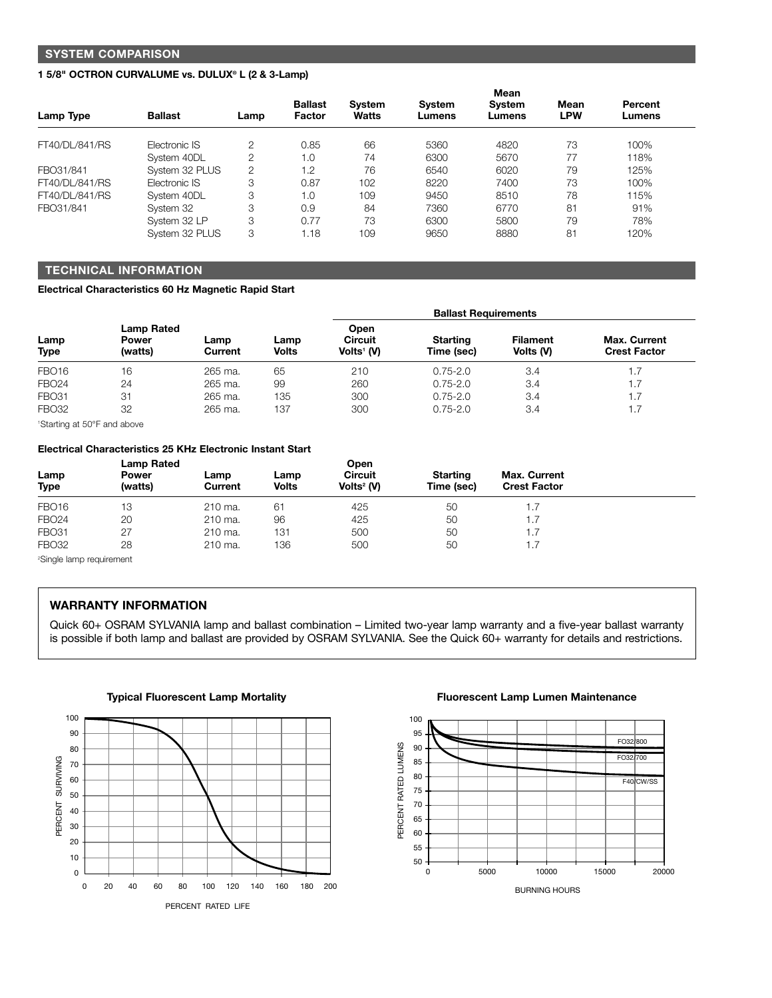# **SYSTEM COMPARISON**

#### **1 5/8" OCTRON CURVALUME vs. DULUX® L (2 & 3-Lamp)**

| Lamp Type      | <b>Ballast</b> | Lamp           | <b>Ballast</b><br>Factor | System<br><b>Watts</b> | <b>System</b><br>Lumens | Mean<br>System<br>Lumens | Mean<br><b>LPW</b> | Percent<br>Lumens |
|----------------|----------------|----------------|--------------------------|------------------------|-------------------------|--------------------------|--------------------|-------------------|
| FT40/DL/841/RS | Electronic IS  | $\overline{2}$ | 0.85                     | 66                     | 5360                    | 4820                     | 73                 | 100%              |
|                | System 40DL    | $\overline{2}$ | 1.0                      | 74                     | 6300                    | 5670                     | 77                 | 118%              |
| FBO31/841      | System 32 PLUS | $\overline{2}$ | 1.2                      | 76                     | 6540                    | 6020                     | 79                 | 125%              |
| FT40/DL/841/RS | Electronic IS  | 3              | 0.87                     | 102                    | 8220                    | 7400                     | 73                 | 100%              |
| FT40/DL/841/RS | System 40DL    | 3              | 1.0                      | 109                    | 9450                    | 8510                     | 78                 | 115%              |
| FBO31/841      | System 32      | 3              | 0.9                      | 84                     | 7360                    | 6770                     | 81                 | 91%               |
|                | System 32 LP   | 3              | 0.77                     | 73                     | 6300                    | 5800                     | 79                 | 78%               |
|                | System 32 PLUS | 3              | 1.18                     | 109                    | 9650                    | 8880                     | 81                 | 120%              |

# **TECHNICAL INFORMATION**

**Electrical Characteristics 60 Hz Magnetic Rapid Start**

|                                                                   |                                              |                 |                      | <b>Ballast Requirements</b>                 |                               |                              |                                            |  |  |
|-------------------------------------------------------------------|----------------------------------------------|-----------------|----------------------|---------------------------------------------|-------------------------------|------------------------------|--------------------------------------------|--|--|
| Lamp<br>Type                                                      | <b>Lamp Rated</b><br><b>Power</b><br>(watts) | Lamp<br>Current | Lamp<br><b>Volts</b> | <b>Open</b><br><b>Circuit</b><br>Volts' (V) | <b>Starting</b><br>Time (sec) | <b>Filament</b><br>Volts (V) | <b>Max. Current</b><br><b>Crest Factor</b> |  |  |
| FBO <sub>16</sub>                                                 | 16                                           | 265 ma.         | 65                   | 210                                         | $0.75 - 2.0$                  | 3.4                          | 1.7                                        |  |  |
| <b>FBO24</b>                                                      | 24                                           | 265 ma.         | 99                   | 260                                         | $0.75 - 2.0$                  | 3.4                          | 1.7                                        |  |  |
| <b>FBO31</b>                                                      | 31                                           | 265 ma.         | 135                  | 300                                         | $0.75 - 2.0$                  | 3.4                          | 1.7                                        |  |  |
| <b>FBO32</b><br>$\sim$ $\sim$ $\sim$<br>$\cdot$ $=$ $\sim$ $\sim$ | 32                                           | 265 ma.         | 137                  | 300                                         | $0.75 - 2.0$                  | 3.4                          | 1.7                                        |  |  |

1 Starting at 50°F and above

#### **Electrical Characteristics 25 KHz Electronic Instant Start**

|                                               | <b>Lamp Rated</b>       |                 |                      | Open                                     |                               |                                            |  |
|-----------------------------------------------|-------------------------|-----------------|----------------------|------------------------------------------|-------------------------------|--------------------------------------------|--|
| Lamp<br><b>Type</b>                           | <b>Power</b><br>(watts) | Lamp<br>Current | Lamp<br><b>Volts</b> | <b>Circuit</b><br>Volts <sup>2</sup> (V) | <b>Starting</b><br>Time (sec) | <b>Max. Current</b><br><b>Crest Factor</b> |  |
| FBO <sub>16</sub>                             | 13                      | 210 ma.         | 61                   | 425                                      | 50                            |                                            |  |
| <b>FBO24</b>                                  | 20                      | 210 ma.         | 96                   | 425                                      | 50                            | ۱.7                                        |  |
| <b>FBO31</b>                                  | 27                      | 210 ma.         | 131                  | 500                                      | 50                            | .7                                         |  |
| <b>FBO32</b>                                  | 28                      | 210 ma.         | 136                  | 500                                      | 50                            | .7                                         |  |
| $200$ and $100$ and $100$ and $100$ and $100$ |                         |                 |                      |                                          |                               |                                            |  |

2 Single lamp requirement

### **WARRANTY INFORMATION**

Quick 60+ OSRAM SYLVANIA lamp and ballast combination – Limited two-year lamp warranty and a five-year ballast warranty is possible if both lamp and ballast are provided by OSRAM SYLVANIA. See the Quick 60+ warranty for details and restrictions.



#### **Typical Fluorescent Lamp Mortality Fluorescent Lamp Lumen Maintenance**

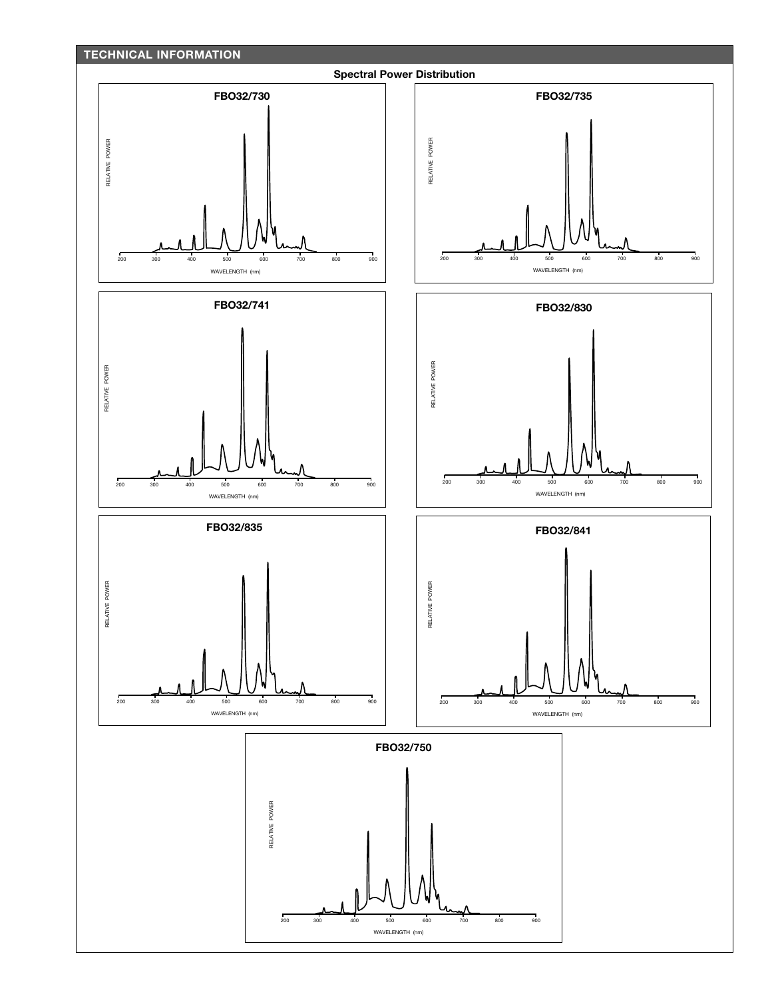